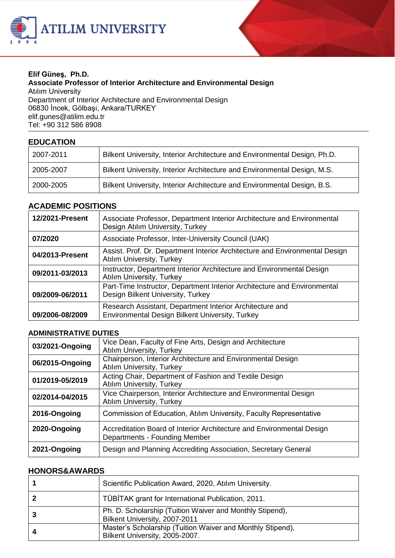



#### **Elif Güneş, Ph.D. Associate Professor of Interior Architecture and Environmental Design** Atılım University Department of Interior Architecture and Environmental Design 06830 İncek, Gölbaşı, Ankara/TURKEY elif.gune[s@atilim.edu.tr](mailto:ulug@bilkent.edu.tr) Tel: +90 312 586 8908

## **EDUCATION**

| 2007-2011 | Bilkent University, Interior Architecture and Environmental Design, Ph.D. |
|-----------|---------------------------------------------------------------------------|
| 2005-2007 | Bilkent University, Interior Architecture and Environmental Design, M.S.  |
| 2000-2005 | Bilkent University, Interior Architecture and Environmental Design, B.S.  |

#### **ACADEMIC POSITIONS**

| 12/2021-Present | Associate Professor, Department Interior Architecture and Environmental<br>Design Atılım University, Turkey     |
|-----------------|-----------------------------------------------------------------------------------------------------------------|
| 07/2020         | Associate Professor, Inter-University Council (UAK)                                                             |
| 04/2013-Present | Assist. Prof. Dr. Department Interior Architecture and Environmental Design<br><b>Atılım University, Turkey</b> |
| 09/2011-03/2013 | Instructor, Department Interior Architecture and Environmental Design<br><b>Atılım University, Turkey</b>       |
| 09/2009-06/2011 | Part-Time Instructor, Department Interior Architecture and Environmental<br>Design Bilkent University, Turkey   |
| 09/2006-08/2009 | Research Assistant, Department Interior Architecture and<br>Environmental Design Bilkent University, Turkey     |

### **ADMINISTRATIVE DUTIES**

| 03/2021-Ongoing | Vice Dean, Faculty of Fine Arts, Design and Architecture<br><b>Atılım University, Turkey</b>           |
|-----------------|--------------------------------------------------------------------------------------------------------|
| 06/2015-Ongoing | Chairperson, Interior Architecture and Environmental Design<br>Atılım University, Turkey               |
| 01/2019-05/2019 | Acting Chair, Department of Fashion and Textile Design<br><b>Atılım University, Turkey</b>             |
| 02/2014-04/2015 | Vice Chairperson, Interior Architecture and Environmental Design<br><b>Atılım University, Turkey</b>   |
| 2016-Ongoing    | Commission of Education, Atilim University, Faculty Representative                                     |
| 2020-Ongoing    | Accreditation Board of Interior Architecture and Environmental Design<br>Departments - Founding Member |
| 2021-Ongoing    | Design and Planning Accrediting Association, Secretary General                                         |

#### **HONORS&AWARDS**

| Scientific Publication Award, 2020, Atılım University.                                       |
|----------------------------------------------------------------------------------------------|
| TÜBİTAK grant for International Publication, 2011.                                           |
| Ph. D. Scholarship (Tuition Waiver and Monthly Stipend),<br>Bilkent University, 2007-2011    |
| Master's Scholarship (Tuition Waiver and Monthly Stipend),<br>Bilkent University, 2005-2007. |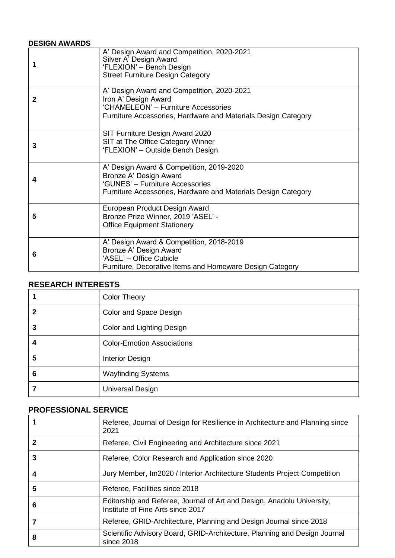# **DESIGN AWARDS**

|   | A' Design Award and Competition, 2020-2021<br>Silver A' Design Award<br>'FLEXION' - Bench Design<br><b>Street Furniture Design Category</b>                                |
|---|----------------------------------------------------------------------------------------------------------------------------------------------------------------------------|
| 2 | A' Design Award and Competition, 2020-2021<br>Iron A' Design Award<br>'CHAMELEON' - Furniture Accessories<br>Furniture Accessories, Hardware and Materials Design Category |
| 3 | SIT Furniture Design Award 2020<br>SIT at The Office Category Winner<br>'FLEXION' - Outside Bench Design                                                                   |
| 4 | A' Design Award & Competition, 2019-2020<br>Bronze A' Design Award<br>'GUNES' - Furniture Accessories<br>Furniture Accessories, Hardware and Materials Design Category     |
| 5 | European Product Design Award<br>Bronze Prize Winner, 2019 'ASEL' -<br><b>Office Equipment Stationery</b>                                                                  |
| 6 | A' Design Award & Competition, 2018-2019<br>Bronze A' Design Award<br>'ASEL' - Office Cubicle<br>Furniture, Decorative Items and Homeware Design Category                  |

# **RESEARCH INTERESTS**

|   | <b>Color Theory</b>               |
|---|-----------------------------------|
| 2 | Color and Space Design            |
| 3 | Color and Lighting Design         |
| 4 | <b>Color-Emotion Associations</b> |
| 5 | <b>Interior Design</b>            |
| 6 | <b>Wayfinding Systems</b>         |
|   | <b>Universal Design</b>           |

## **PROFESSIONAL SERVICE**

|   | Referee, Journal of Design for Resilience in Architecture and Planning since<br>2021                        |
|---|-------------------------------------------------------------------------------------------------------------|
| 2 | Referee, Civil Engineering and Architecture since 2021                                                      |
| 3 | Referee, Color Research and Application since 2020                                                          |
| 4 | Jury Member, Im2020 / Interior Architecture Students Project Competition                                    |
| 5 | Referee, Facilities since 2018                                                                              |
| 6 | Editorship and Referee, Journal of Art and Design, Anadolu University,<br>Institute of Fine Arts since 2017 |
|   | Referee, GRID-Architecture, Planning and Design Journal since 2018                                          |
| 8 | Scientific Advisory Board, GRID-Architecture, Planning and Design Journal<br>since 2018                     |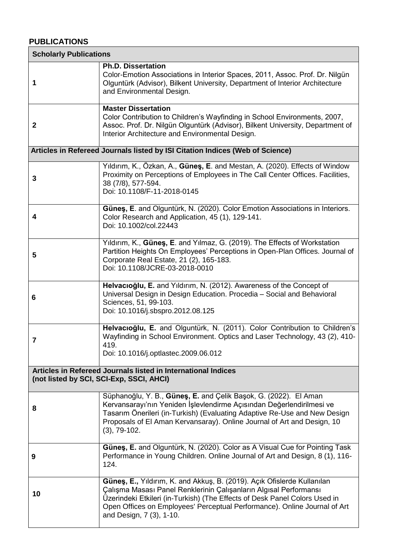# **PUBLICATIONS**

| <b>Scholarly Publications</b> |                                                                                                                                                                                                                                                                                                                                     |  |
|-------------------------------|-------------------------------------------------------------------------------------------------------------------------------------------------------------------------------------------------------------------------------------------------------------------------------------------------------------------------------------|--|
| 1                             | <b>Ph.D. Dissertation</b><br>Color-Emotion Associations in Interior Spaces, 2011, Assoc. Prof. Dr. Nilgün<br>Olguntürk (Advisor), Bilkent University, Department of Interior Architecture<br>and Environmental Design.                                                                                                              |  |
| $\mathbf{2}$                  | <b>Master Dissertation</b><br>Color Contribution to Children's Wayfinding in School Environments, 2007,<br>Assoc. Prof. Dr. Nilgün Olguntürk (Advisor), Bilkent University, Department of<br>Interior Architecture and Environmental Design.                                                                                        |  |
|                               | Articles in Refereed Journals listed by ISI Citation Indices (Web of Science)                                                                                                                                                                                                                                                       |  |
| 3                             | Yıldırım, K., Özkan, A., Güneş, E. and Mestan, A. (2020). Effects of Window<br>Proximity on Perceptions of Employees in The Call Center Offices. Facilities,<br>38 (7/8), 577-594.<br>Doi: 10.1108/F-11-2018-0145                                                                                                                   |  |
| 4                             | Günes, E. and Olguntürk, N. (2020). Color Emotion Associations in Interiors.<br>Color Research and Application, 45 (1), 129-141.<br>Doi: 10.1002/col.22443                                                                                                                                                                          |  |
| 5                             | Yıldırım, K., Güneş, E. and Yılmaz, G. (2019). The Effects of Workstation<br>Partition Heights On Employees' Perceptions in Open-Plan Offices. Journal of<br>Corporate Real Estate, 21 (2), 165-183.<br>Doi: 10.1108/JCRE-03-2018-0010                                                                                              |  |
| 6                             | Helvacioğlu, E. and Yildirim, N. (2012). Awareness of the Concept of<br>Universal Design in Design Education. Procedia - Social and Behavioral<br>Sciences, 51, 99-103.<br>Doi: 10.1016/j.sbspro.2012.08.125                                                                                                                        |  |
| 7                             | Helvacioğlu, E. and Olguntürk, N. (2011). Color Contribution to Children's<br>Wayfinding in School Environment. Optics and Laser Technology, 43 (2), 410-<br>419.<br>Doi: 10.1016/j.optlastec.2009.06.012                                                                                                                           |  |
|                               | Articles in Refereed Journals listed in International Indices<br>(not listed by SCI, SCI-Exp, SSCI, AHCI)                                                                                                                                                                                                                           |  |
| 8                             | Süphanoğlu, Y. B., Güneş, E. and Çelik Başok, G. (2022). El Aman<br>Kervansarayı'nın Yeniden İşlevlendirme Açısından Değerlendirilmesi ve<br>Tasarım Önerileri (in-Turkish) (Evaluating Adaptive Re-Use and New Design<br>Proposals of El Aman Kervansaray). Online Journal of Art and Design, 10<br>$(3), 79-102.$                 |  |
| 9                             | Güneş, E. and Olguntürk, N. (2020). Color as A Visual Cue for Pointing Task<br>Performance in Young Children. Online Journal of Art and Design, 8 (1), 116-<br>124.                                                                                                                                                                 |  |
| 10                            | Güneş, E., Yıldırım, K. and Akkuş, B. (2019). Açık Ofislerde Kullanılan<br>Çalışma Masası Panel Renklerinin Çalışanların Algısal Performansı<br>Üzerindeki Etkileri (in-Turkish) (The Effects of Desk Panel Colors Used in<br>Open Offices on Employees' Perceptual Performance). Online Journal of Art<br>and Design, 7 (3), 1-10. |  |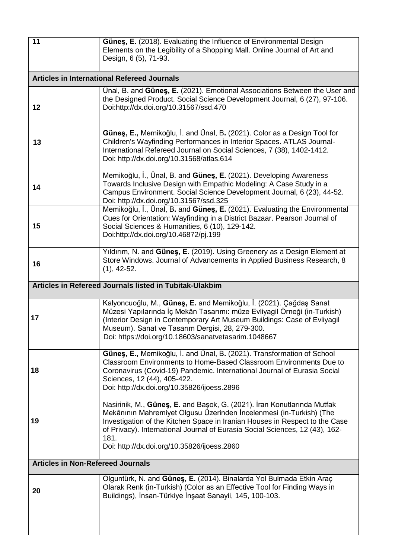| 11                                       | Güneş, E. (2018). Evaluating the Influence of Environmental Design<br>Elements on the Legibility of a Shopping Mall. Online Journal of Art and<br>Design, 6 (5), 71-93.                                                                                                                                                                                              |
|------------------------------------------|----------------------------------------------------------------------------------------------------------------------------------------------------------------------------------------------------------------------------------------------------------------------------------------------------------------------------------------------------------------------|
|                                          | <b>Articles in International Refereed Journals</b>                                                                                                                                                                                                                                                                                                                   |
| 12                                       | Unal, B. and Günes, E. (2021). Emotional Associations Between the User and<br>the Designed Product. Social Science Development Journal, 6 (27), 97-106.<br>Doi:http://dx.doi.org/10.31567/ssd.470                                                                                                                                                                    |
| 13                                       | Güneş, E., Memikoğlu, İ. and Ünal, B. (2021). Color as a Design Tool for<br>Children's Wayfinding Performances in Interior Spaces. ATLAS Journal-<br>International Refereed Journal on Social Sciences, 7 (38), 1402-1412.<br>Doi: http://dx.doi.org/10.31568/atlas.614                                                                                              |
| 14                                       | Memikoğlu, İ., Ünal, B. and Güneş, E. (2021). Developing Awareness<br>Towards Inclusive Design with Empathic Modeling: A Case Study in a<br>Campus Environment. Social Science Development Journal, 6 (23), 44-52.<br>Doi: http://dx.doi.org/10.31567/ssd.325                                                                                                        |
| 15                                       | Memikoğlu, İ., Ünal, B. and Güneş, E. (2021). Evaluating the Environmental<br>Cues for Orientation: Wayfinding in a District Bazaar. Pearson Journal of<br>Social Sciences & Humanities, 6 (10), 129-142.<br>Doi:http://dx.doi.org/10.46872/pj.199                                                                                                                   |
| 16                                       | Yıldırım, N. and Güneş, E. (2019). Using Greenery as a Design Element at<br>Store Windows. Journal of Advancements in Applied Business Research, 8<br>$(1), 42-52.$                                                                                                                                                                                                  |
|                                          | Articles in Refereed Journals listed in Tubitak-Ulakbim                                                                                                                                                                                                                                                                                                              |
| 17                                       | Kalyoncuoğlu, M., Güneş, E. and Memikoğlu, İ. (2021). Çağdaş Sanat<br>Müzesi Yapılarında İç Mekân Tasarımı: müze Evliyagil Örneği (in-Turkish)<br>(Interior Design in Contemporary Art Museum Buildings: Case of Evliyagil<br>Museum). Sanat ve Tasarım Dergisi, 28, 279-300.<br>Doi: https://doi.org/10.18603/sanatvetasarim.1048667                                |
| 18                                       | Güneş, E., Memikoğlu, İ. and Ünal, B. (2021). Transformation of School<br>Classroom Environments to Home-Based Classroom Environments Due to<br>Coronavirus (Covid-19) Pandemic. International Journal of Eurasia Social<br>Sciences, 12 (44), 405-422.<br>Doi: http://dx.doi.org/10.35826/ijoess.2896                                                               |
| 19                                       | Nasirinik, M., Güneş, E. and Başok, G. (2021). İran Konutlarında Mutfak<br>Mekânının Mahremiyet Olgusu Üzerinden İncelenmesi (in-Turkish) (The<br>Investigation of the Kitchen Space in Iranian Houses in Respect to the Case<br>of Privacy). International Journal of Eurasia Social Sciences, 12 (43), 162-<br>181.<br>Doi: http://dx.doi.org/10.35826/ijoess.2860 |
| <b>Articles in Non-Refereed Journals</b> |                                                                                                                                                                                                                                                                                                                                                                      |
| 20                                       | Olguntürk, N. and Güneş, E. (2014). Binalarda Yol Bulmada Etkin Araç<br>Olarak Renk (in-Turkish) (Color as an Effective Tool for Finding Ways in<br>Buildings), İnsan-Türkiye İnşaat Sanayii, 145, 100-103.                                                                                                                                                          |
|                                          |                                                                                                                                                                                                                                                                                                                                                                      |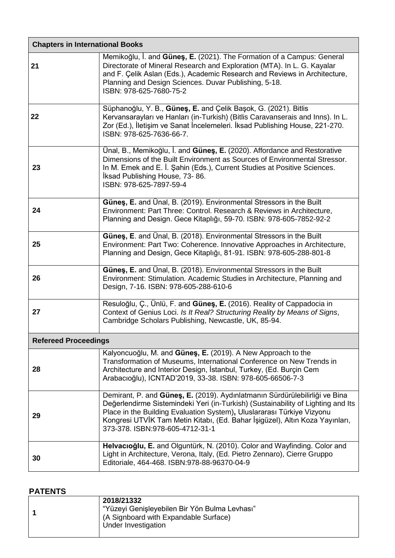| <b>Chapters in International Books</b> |                                                                                                                                                                                                                                                                                                                                                              |
|----------------------------------------|--------------------------------------------------------------------------------------------------------------------------------------------------------------------------------------------------------------------------------------------------------------------------------------------------------------------------------------------------------------|
| 21                                     | Memikoğlu, İ. and Güneş, E. (2021). The Formation of a Campus: General<br>Directorate of Mineral Research and Exploration (MTA). In L. G. Kayalar<br>and F. Çelik Aslan (Eds.), Academic Research and Reviews in Architecture,<br>Planning and Design Sciences. Duvar Publishing, 5-18.<br>ISBN: 978-625-7680-75-2                                           |
| 22                                     | Süphanoğlu, Y. B., Güneş, E. and Çelik Başok, G. (2021). Bitlis<br>Kervansarayları ve Hanları (in-Turkish) (Bitlis Caravanserais and Inns). In L.<br>Zor (Ed.), İletişim ve Sanat İncelemeleri. İksad Publishing House, 221-270.<br>ISBN: 978-625-7636-66-7.                                                                                                 |
| 23                                     | Ünal, B., Memikoğlu, İ. and Güneş, E. (2020). Affordance and Restorative<br>Dimensions of the Built Environment as Sources of Environmental Stressor.<br>In M. Emek and E. İ. Şahin (Eds.), Current Studies at Positive Sciences.<br>Iksad Publishing House, 73-86.<br>ISBN: 978-625-7897-59-4                                                               |
| 24                                     | Güneş, E. and Ünal, B. (2019). Environmental Stressors in the Built<br>Environment: Part Three: Control. Research & Reviews in Architecture,<br>Planning and Design. Gece Kitaplığı, 59-70. ISBN: 978-605-7852-92-2                                                                                                                                          |
| 25                                     | Günes, E. and Ünal, B. (2018). Environmental Stressors in the Built<br>Environment: Part Two: Coherence. Innovative Approaches in Architecture,<br>Planning and Design, Gece Kitaplığı, 81-91. ISBN: 978-605-288-801-8                                                                                                                                       |
| 26                                     | Günes, E. and Unal, B. (2018). Environmental Stressors in the Built<br>Environment: Stimulation. Academic Studies in Architecture, Planning and<br>Design, 7-16. ISBN: 978-605-288-610-6                                                                                                                                                                     |
| 27                                     | Resuloğlu, Ç., Ünlü, F. and Güneş, E. (2016). Reality of Cappadocia in<br>Context of Genius Loci. Is It Real? Structuring Reality by Means of Signs,<br>Cambridge Scholars Publishing, Newcastle, UK, 85-94.                                                                                                                                                 |
| <b>Refereed Proceedings</b>            |                                                                                                                                                                                                                                                                                                                                                              |
| 28                                     | Kalyoncuoğlu, M. and Günes, E. (2019). A New Approach to the<br>Transformation of Museums, International Conference on New Trends in<br>Architecture and Interior Design, İstanbul, Turkey, (Ed. Burçin Cem<br>Arabacıoğlu), ICNTAD'2019, 33-38. ISBN: 978-605-66506-7-3                                                                                     |
| 29                                     | Demirant, P. and Güneş, E. (2019). Aydınlatmanın Sürdürülebilirliği ve Bina<br>Değerlendirme Sistemindeki Yeri (in-Turkish) (Sustainability of Lighting and Its<br>Place in the Building Evaluation System), Uluslararası Türkiye Vizyonu<br>Kongresi UTVİK Tam Metin Kitabı, (Ed. Bahar İşigüzel), Altın Koza Yayınları,<br>373-378. ISBN:978-605-4712-31-1 |
| 30                                     | Helvacioğlu, E. and Olguntürk, N. (2010). Color and Wayfinding. Color and<br>Light in Architecture, Verona, Italy, (Ed. Pietro Zennaro), Cierre Gruppo<br>Editoriale, 464-468. ISBN:978-88-96370-04-9                                                                                                                                                        |

# **PATENTS**

| 2018/21332<br>"Yüzeyi Genişleyebilen Bir Yön Bulma Levhası"<br>(A Signboard with Expandable Surface)<br>Under Investigation |
|-----------------------------------------------------------------------------------------------------------------------------|
|                                                                                                                             |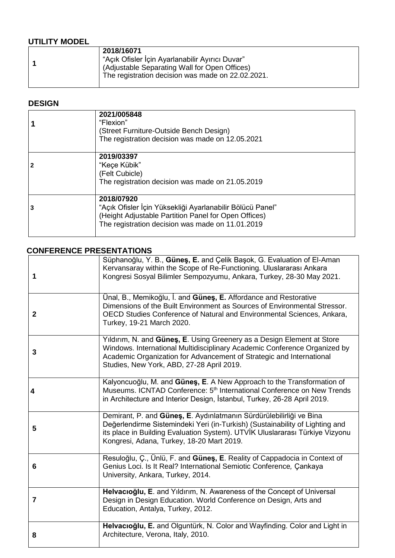# **UTILITY MODEL**

| 2018/16071<br>"Acık Ofisler İçin Ayarlanabilir Ayırıcı Duvar"<br>(Adjustable Separating Wall for Open Offices) |
|----------------------------------------------------------------------------------------------------------------|
| The registration decision was made on 22.02.2021.                                                              |

# **DESIGN**

| 2021/005848<br>"Flexion"<br>(Street Furniture-Outside Bench Design)<br>The registration decision was made on 12.05.2021                                                             |
|-------------------------------------------------------------------------------------------------------------------------------------------------------------------------------------|
| 2019/03397<br>"Keçe Kübik"<br>(Felt Cubicle)<br>The registration decision was made on 21.05.2019                                                                                    |
| 2018/07920<br>"Açık Ofisler İçin Yüksekliği Ayarlanabilir Bölücü Panel"<br>(Height Adjustable Partition Panel for Open Offices)<br>The registration decision was made on 11.01.2019 |

# **CONFERENCE PRESENTATIONS**

| 1              | Süphanoğlu, Y. B., Güneş, E. and Çelik Başok, G. Evaluation of El-Aman<br>Kervansaray within the Scope of Re-Functioning. Uluslararasi Ankara<br>Kongresi Sosyal Bilimler Sempozyumu, Ankara, Turkey, 28-30 May 2021.                                                            |
|----------------|----------------------------------------------------------------------------------------------------------------------------------------------------------------------------------------------------------------------------------------------------------------------------------|
| $\mathbf{2}$   | Ünal, B., Memikoğlu, İ. and Güneş, E. Affordance and Restorative<br>Dimensions of the Built Environment as Sources of Environmental Stressor.<br>OECD Studies Conference of Natural and Environmental Sciences, Ankara,<br>Turkey, 19-21 March 2020.                             |
| 3              | Yildirim, N. and Günes, E. Using Greenery as a Design Element at Store<br>Windows. International Multidisciplinary Academic Conference Organized by<br>Academic Organization for Advancement of Strategic and International<br>Studies, New York, ABD, 27-28 April 2019.         |
| 4              | Kalyoncuoğlu, M. and Güneş, E. A New Approach to the Transformation of<br>Museums. ICNTAD Conference: 5 <sup>th</sup> International Conference on New Trends<br>in Architecture and Interior Design, İstanbul, Turkey, 26-28 April 2019.                                         |
| 5              | Demirant, P. and Güneş, E. Aydınlatmanın Sürdürülebilirliği ve Bina<br>Değerlendirme Sistemindeki Yeri (in-Turkish) (Sustainability of Lighting and<br>its place in Building Evaluation System). UTVİK Uluslararası Türkiye Vizyonu<br>Kongresi, Adana, Turkey, 18-20 Mart 2019. |
| 6              | Resuloğlu, Ç., Ünlü, F. and Güneş, E. Reality of Cappadocia in Context of<br>Genius Loci. Is It Real? International Semiotic Conference, Çankaya<br>University, Ankara, Turkey, 2014.                                                                                            |
| $\overline{7}$ | Helvacioğlu, E. and Yildirim, N. Awareness of the Concept of Universal<br>Design in Design Education. World Conference on Design, Arts and<br>Education, Antalya, Turkey, 2012.                                                                                                  |
| 8              | Helvacioğlu, E. and Olguntürk, N. Color and Wayfinding. Color and Light in<br>Architecture, Verona, Italy, 2010.                                                                                                                                                                 |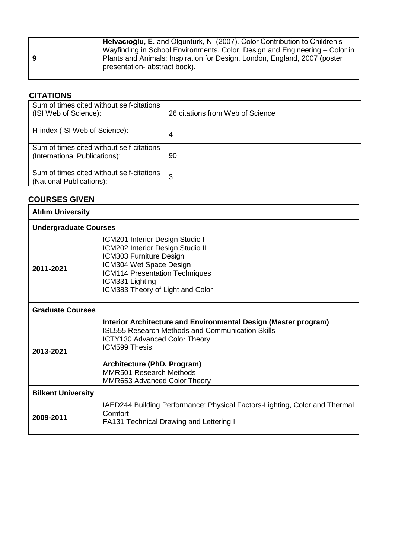| -9 | Helvacioğlu, E. and Olguntürk, N. (2007). Color Contribution to Children's<br>Wayfinding in School Environments. Color, Design and Engineering – Color in<br>Plants and Animals: Inspiration for Design, London, England, 2007 (poster<br>presentation- abstract book). |
|----|-------------------------------------------------------------------------------------------------------------------------------------------------------------------------------------------------------------------------------------------------------------------------|
|----|-------------------------------------------------------------------------------------------------------------------------------------------------------------------------------------------------------------------------------------------------------------------------|

# **CITATIONS**

| Sum of times cited without self-citations<br>(ISI Web of Science):         | 26 citations from Web of Science |
|----------------------------------------------------------------------------|----------------------------------|
| H-index (ISI Web of Science):                                              | 4                                |
| Sum of times cited without self-citations<br>(International Publications): | 90                               |
| Sum of times cited without self-citations<br>(National Publications):      | 3                                |

# **COURSES GIVEN**

| <b>Atılım University</b>     |                                                                                                                                                                                                                                                                                                    |
|------------------------------|----------------------------------------------------------------------------------------------------------------------------------------------------------------------------------------------------------------------------------------------------------------------------------------------------|
| <b>Undergraduate Courses</b> |                                                                                                                                                                                                                                                                                                    |
| 2011-2021                    | ICM201 Interior Design Studio I<br>ICM202 Interior Design Studio II<br>ICM303 Furniture Design<br>ICM304 Wet Space Design<br>ICM114 Presentation Techniques<br>ICM331 Lighting<br>ICM383 Theory of Light and Color                                                                                 |
| <b>Graduate Courses</b>      |                                                                                                                                                                                                                                                                                                    |
| 2013-2021                    | Interior Architecture and Environmental Design (Master program)<br><b>ISL555 Research Methods and Communication Skills</b><br><b>ICTY130 Advanced Color Theory</b><br><b>ICM599 Thesis</b><br>Architecture (PhD. Program)<br><b>MMR501 Research Methods</b><br><b>MMR653 Advanced Color Theory</b> |
| <b>Bilkent University</b>    |                                                                                                                                                                                                                                                                                                    |
| 2009-2011                    | IAED244 Building Performance: Physical Factors-Lighting, Color and Thermal<br>Comfort<br><b>FA131 Technical Drawing and Lettering I</b>                                                                                                                                                            |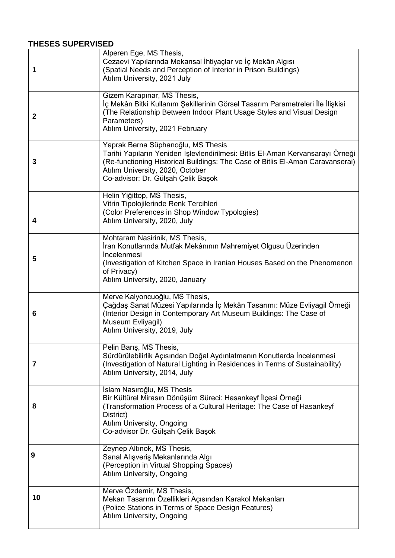## **THESES SUPERVISED**

| 1                       | Alperen Ege, MS Thesis,<br>Cezaevi Yapılarında Mekansal İhtiyaçlar ve İç Mekân Algısı<br>(Spatial Needs and Perception of Interior in Prison Buildings)<br>Atılım University, 2021 July                                                                                          |
|-------------------------|----------------------------------------------------------------------------------------------------------------------------------------------------------------------------------------------------------------------------------------------------------------------------------|
| $\mathbf{2}$            | Gizem Karapınar, MS Thesis,<br>İç Mekân Bitki Kullanım Şekillerinin Görsel Tasarım Parametreleri İle İlişkisi<br>(The Relationship Between Indoor Plant Usage Styles and Visual Design<br>Parameters)<br>Atılım University, 2021 February                                        |
| 3                       | Yaprak Berna Süphanoğlu, MS Thesis<br>Tarihi Yapıların Yeniden İşlevlendirilmesi: Bitlis El-Aman Kervansarayı Örneği<br>(Re-functioning Historical Buildings: The Case of Bitlis El-Aman Caravanserai)<br>Atılım University, 2020, October<br>Co-advisor: Dr. Gülşah Çelik Başok |
| 4                       | Helin Yiğittop, MS Thesis,<br>Vitrin Tipolojilerinde Renk Tercihleri<br>(Color Preferences in Shop Window Typologies)<br>Atılım University, 2020, July                                                                                                                           |
| 5                       | Mohtaram Nasirinik, MS Thesis,<br>İran Konutlarında Mutfak Mekânının Mahremiyet Olgusu Üzerinden<br>Incelenmesi<br>(Investigation of Kitchen Space in Iranian Houses Based on the Phenomenon<br>of Privacy)<br>Atılım University, 2020, January                                  |
| 6                       | Merve Kalyoncuoğlu, MS Thesis,<br>Çağdaş Sanat Müzesi Yapılarında İç Mekân Tasarımı: Müze Evliyagil Örneği<br>(Interior Design in Contemporary Art Museum Buildings: The Case of<br>Museum Evliyagil)<br>Atılım University, 2019, July                                           |
| $\overline{\mathbf{r}}$ | Pelin Barış, MS Thesis,<br>Sürdürülebilirlik Açısından Doğal Aydınlatmanın Konutlarda İncelenmesi<br>(Investigation of Natural Lighting in Residences in Terms of Sustainability)<br>Atılım University, 2014, July                                                               |
| 8                       | Islam Nasıroğlu, MS Thesis<br>Bir Kültürel Mirasın Dönüşüm Süreci: Hasankeyf İlçesi Örneği<br>(Transformation Process of a Cultural Heritage: The Case of Hasankeyf<br>District)<br>Atılım University, Ongoing<br>Co-advisor Dr. Gülşah Çelik Başok                              |
| 9                       | Zeynep Altınok, MS Thesis,<br>Sanal Alışveriş Mekanlarında Algı<br>(Perception in Virtual Shopping Spaces)<br>Atılım University, Ongoing                                                                                                                                         |
| 10                      | Merve Özdemir, MS Thesis,<br>Mekan Tasarımı Özellikleri Açısından Karakol Mekanları<br>(Police Stations in Terms of Space Design Features)<br>Atılım University, Ongoing                                                                                                         |